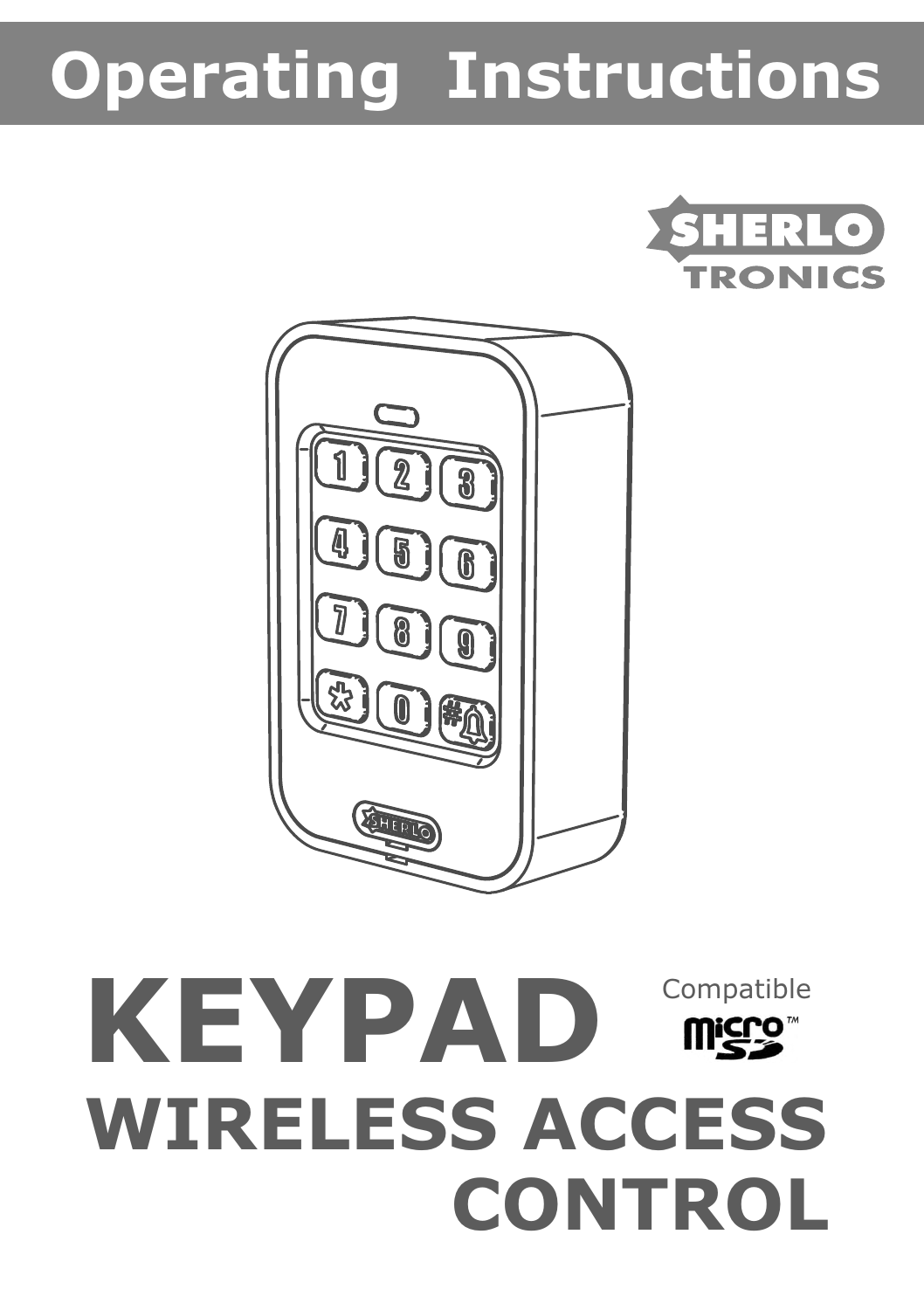# **Operating Instructions**





# **KEYPAD WIRELESS ACCESS CONTROL** Compatible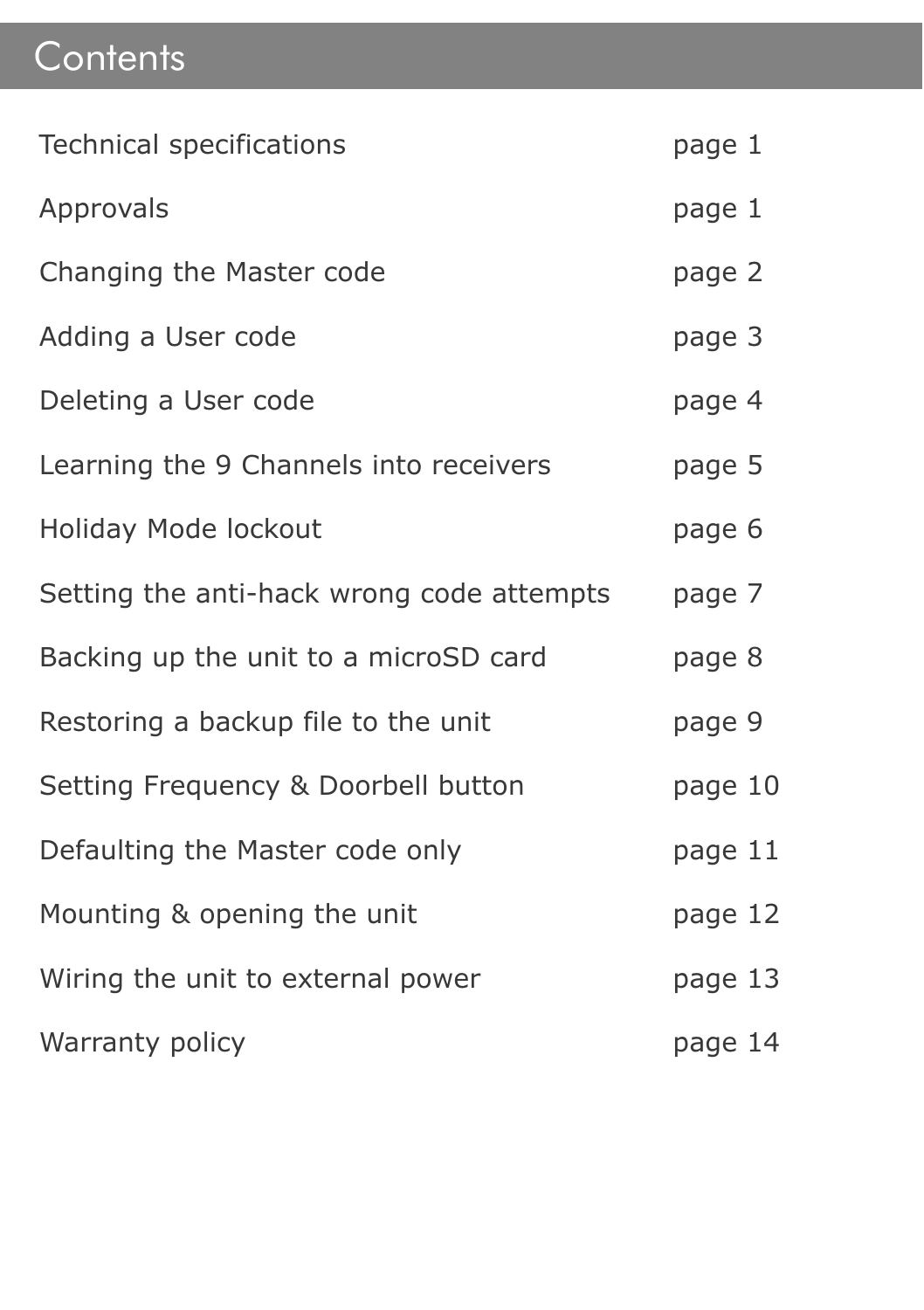## **Contents**

| Technical specifications                  | page 1  |
|-------------------------------------------|---------|
| Approvals                                 | page 1  |
| Changing the Master code                  | page 2  |
| Adding a User code                        | page 3  |
| Deleting a User code                      | page 4  |
| Learning the 9 Channels into receivers    | page 5  |
| Holiday Mode lockout                      | page 6  |
| Setting the anti-hack wrong code attempts | page 7  |
| Backing up the unit to a microSD card     | page 8  |
| Restoring a backup file to the unit       | page 9  |
| Setting Frequency & Doorbell button       | page 10 |
| Defaulting the Master code only           | page 11 |
| Mounting & opening the unit               | page 12 |
| Wiring the unit to external power         | page 13 |
| Warranty policy                           | page 14 |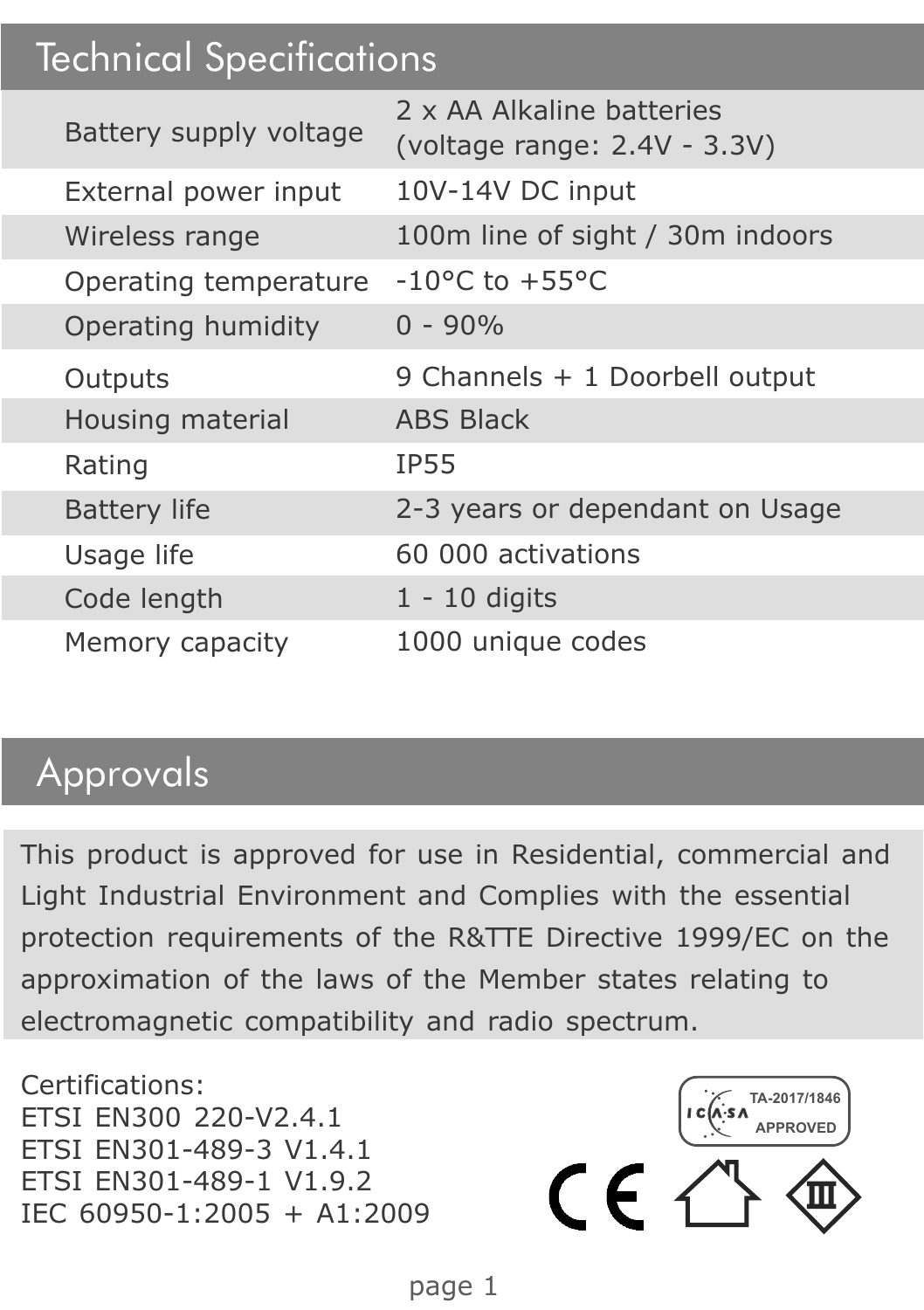#### Technical Specifications

| Battery supply voltage | 2 x AA Alkaline hatteries<br>(voltage range: 2.4V - 3.3V) |
|------------------------|-----------------------------------------------------------|
| External power input   | 10V-14V DC input                                          |
| Wireless range         | 100m line of sight / 30m indoors                          |
| Operating temperature  | $-10^{\circ}$ C to $+55^{\circ}$ C                        |
| Operating humidity     | $0 - 90%$                                                 |
| Outputs                | 9 Channels + 1 Doorbell output                            |
| Housing material       | <b>ABS Black</b>                                          |
| Rating                 | <b>IP55</b>                                               |
| <b>Battery life</b>    | 2-3 years or dependant on Usage                           |
| Usage life             | 60,000 activations                                        |
| Code length            | $1 - 10$ digits                                           |
| Memory capacity        | 1000 unique codes                                         |
|                        |                                                           |

#### Approvals

This product is approved for use in Residential, commercial and Light Industrial Environment and Complies with the essential protection requirements of the R&TTE Directive 1999/EC on the approximation of the laws of the Member states relating to electromagnetic compatibility and radio spectrum.

Certifications: ETSI EN300 220-V2.4.1 ETSI EN301-489-3 V1.4.1 ETSI EN301-489-1 V1.9.2 ETSI EN301-489-1 V1.9.2<br>IEC 60950-1:2005 + A1:2009  $\left($ 

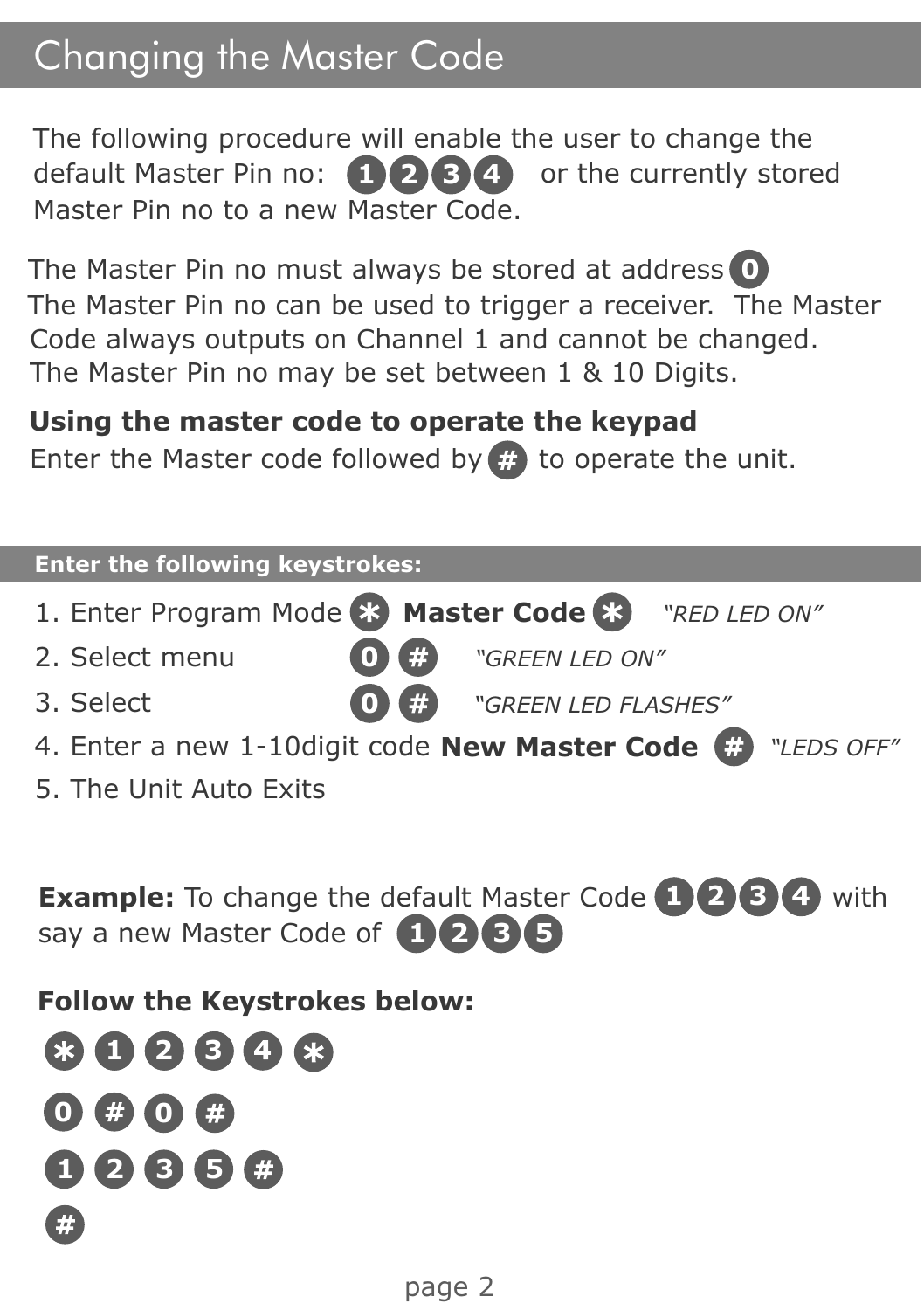## Changing the Master Code

The following procedure will enable the user to change the **1 2 8 4 b c** currently stored default Master Pin no: **1 2 8 4 b** or the currently stored Master Pin no to a new Master Code.

The Master Pin no must always be stored at address **0** The Master Pin no can be used to trigger a receiver. The Master Code always outputs on Channel 1 and cannot be changed. The Master Pin no may be set between 1 & 10 Digits.

#### **Using the master code to operate the keypad**

Enter the Master code followed by  $\mathbb{E}$  to operate the unit.

| <b>Enter the following keystrokes:</b>                       |  |  |  |  |  |
|--------------------------------------------------------------|--|--|--|--|--|
| 1. Enter Program Mode 83 Master Code 83 "RED LED ON"         |  |  |  |  |  |
| #<br>2. Select menu<br>"GREEN LED ON"                        |  |  |  |  |  |
| (#<br>3. Select<br>"GREEN LED FLASHES"                       |  |  |  |  |  |
| 4. Enter a new 1-10 digit code New Master Code (# "LEDS OFF" |  |  |  |  |  |
| 5. The Unit Auto Exits                                       |  |  |  |  |  |
|                                                              |  |  |  |  |  |
| <b>The Second</b>                                            |  |  |  |  |  |

**Example:** To change the default Master Code  $\bigoplus$  **2 3 4** with say a new Master Code of **1 2 3 5**

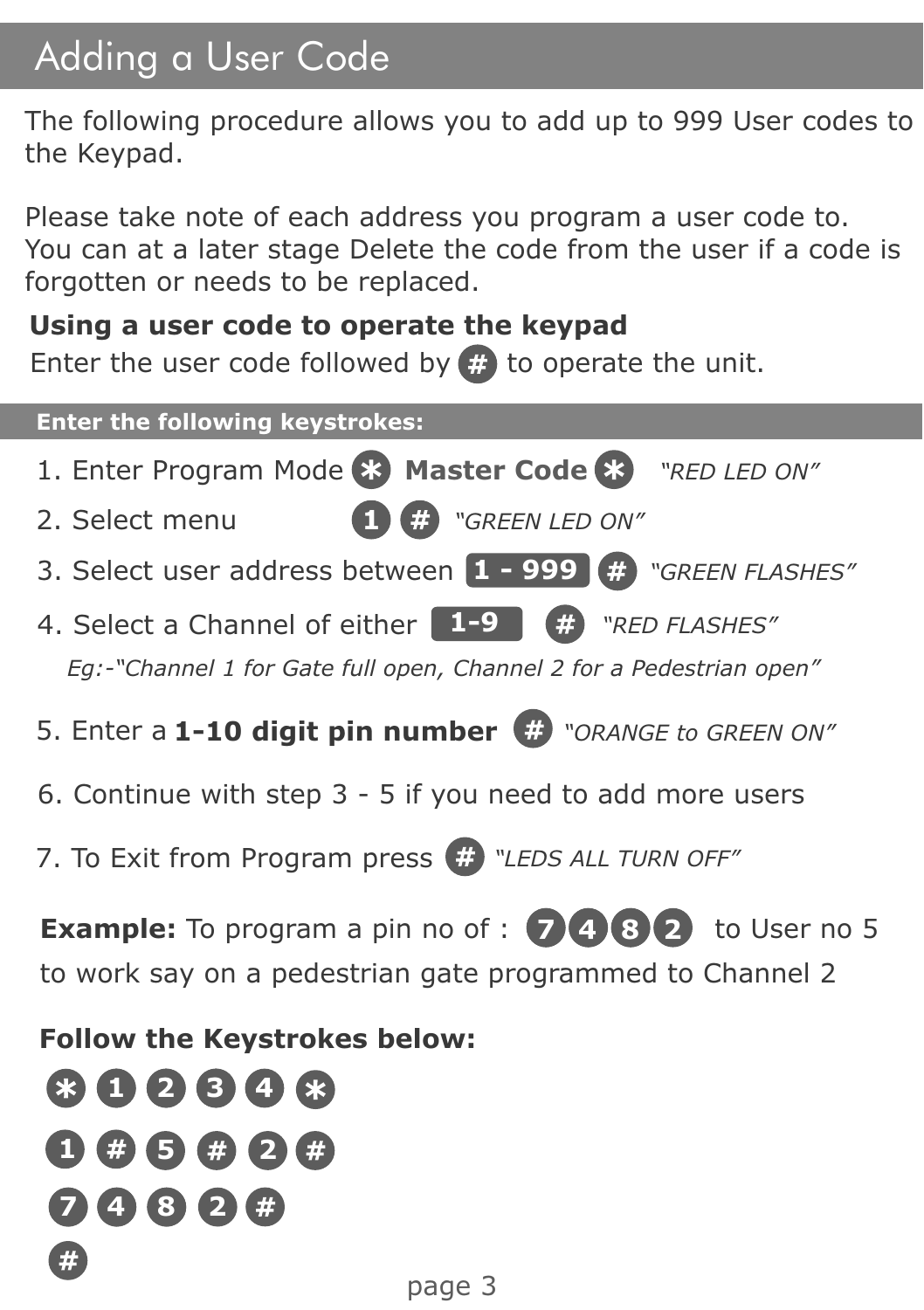## Adding a User Code

The following procedure allows you to add up to 999 User codes to the Keypad.

Please take note of each address you program a user code to. You can at a later stage Delete the code from the user if a code is forgotten or needs to be replaced.

#### **Using a user code to operate the keypad**

Enter the user code followed by  $\ddot{\mathbf{r}}$  to operate the unit.

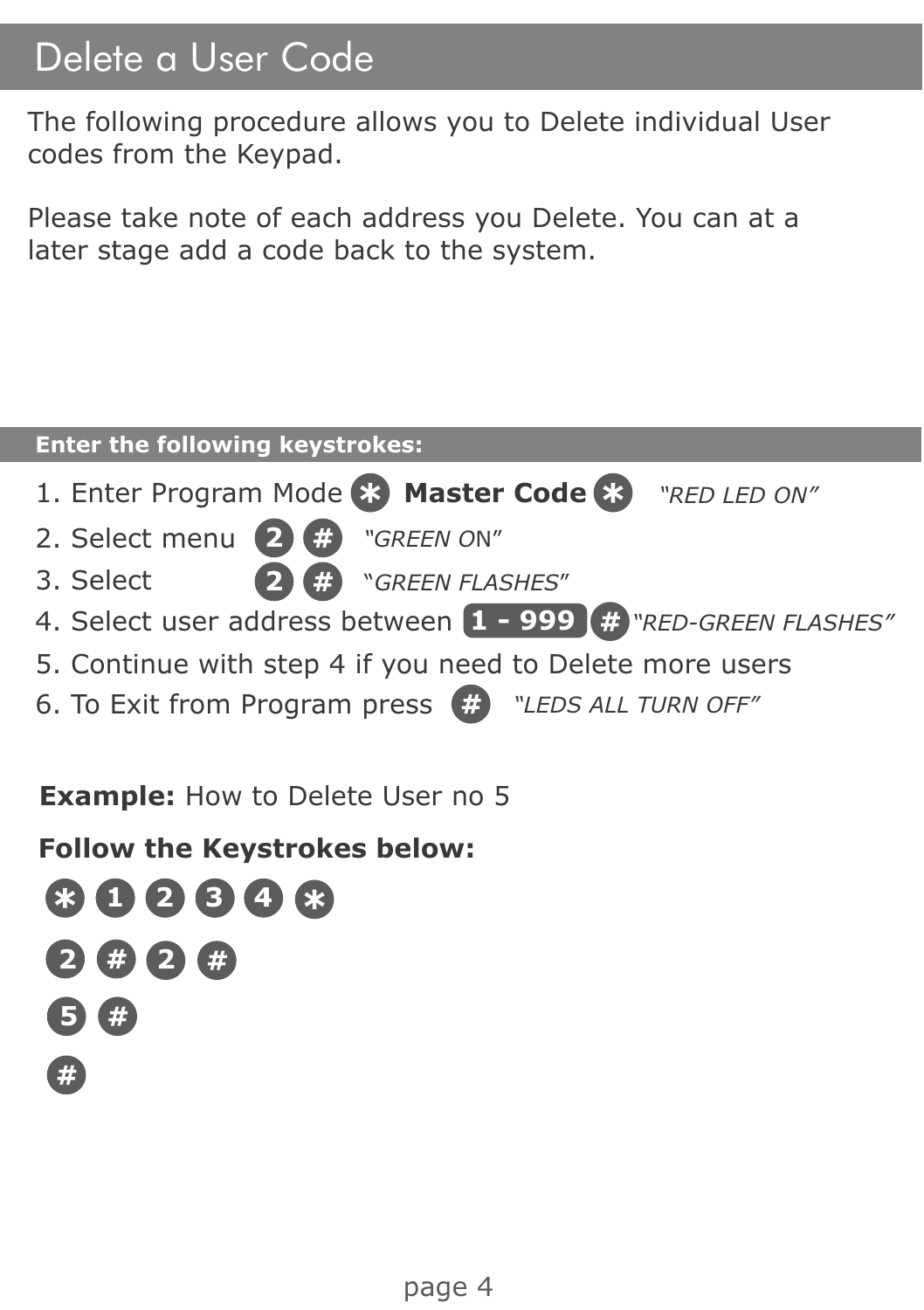#### Delete a User Code

The following procedure allows you to Delete individual User codes from the Keypad.

Please take note of each address you Delete. You can at a later stage add a code back to the system.

| <b>Enter the following keystrokes:</b>                       |  |  |  |  |  |
|--------------------------------------------------------------|--|--|--|--|--|
| 1. Enter Program Mode & Master Code & "RED LED ON"           |  |  |  |  |  |
| 2. Select menu 2 <sup>3</sup> "GREEN ON"                     |  |  |  |  |  |
| <sup>2</sup> <sup>#</sup> "GREEN FLASHES"<br>3. Select       |  |  |  |  |  |
| 4. Select user address between 1 - 999 # "RED-GREEN FLASHES" |  |  |  |  |  |
| 5. Continue with step 4 if you need to Delete more users     |  |  |  |  |  |
| 6. To Exit from Program press # "LEDS ALL TURN OFF"          |  |  |  |  |  |
|                                                              |  |  |  |  |  |

**Example:** How to Delete User no 5

**Follow the Keystrokes below:**

**1 2 3 4 2 2 5**G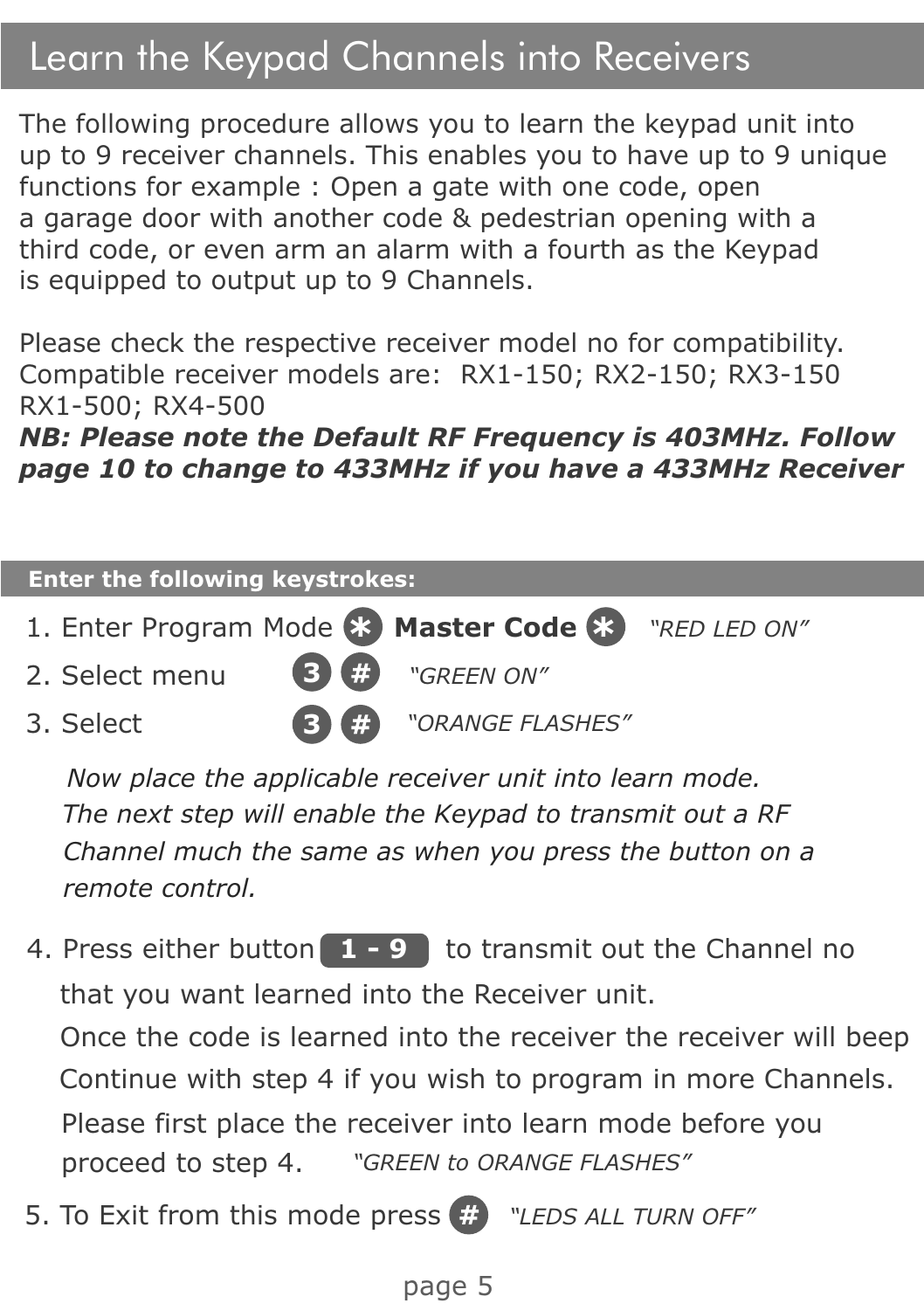### Learn the Keypad Channels into Receivers

The following procedure allows you to learn the keypad unit into up to 9 receiver channels. This enables you to have up to 9 unique functions for example : Open a gate with one code, open a garage door with another code & pedestrian opening with a third code, or even arm an alarm with a fourth as the Keypad is equipped to output up to 9 Channels.

Please check the respective receiver model no for compatibility. Compatible receiver models are: RX1-150; RX2-150; RX3-150 RX1-500; RX4-500

*NB: Please note the Default RF Frequency is 403MHz. Follow page 10 to change to 433MHz if you have a 433MHz Receiver* 

#### 1. Enter Program Mode **83 Master Code 83** "RED LED ON" 2. Select menu **Enter the following keystrokes: 3** 3. Select **3** *"ORANGE FLASHES" "GREEN ON"*

*Now place the applicable receiver unit into learn mode. The next step will enable the Keypad to transmit out a RF Channel much the same as when you press the button on a remote control.*

- 4. Press either button  $\begin{bmatrix} 1 & -9 \end{bmatrix}$  to transmit out the Channel no that you want learned into the Receiver unit. Once the code is learned into the receiver the receiver will beep Continue with step 4 if you wish to program in more Channels. Please first place the receiver into learn mode before you proceed to step 4. *"GREEN to ORANGE FLASHES"*
- 5. To Exit from this mode press *"LEDS ALL TURN OFF"*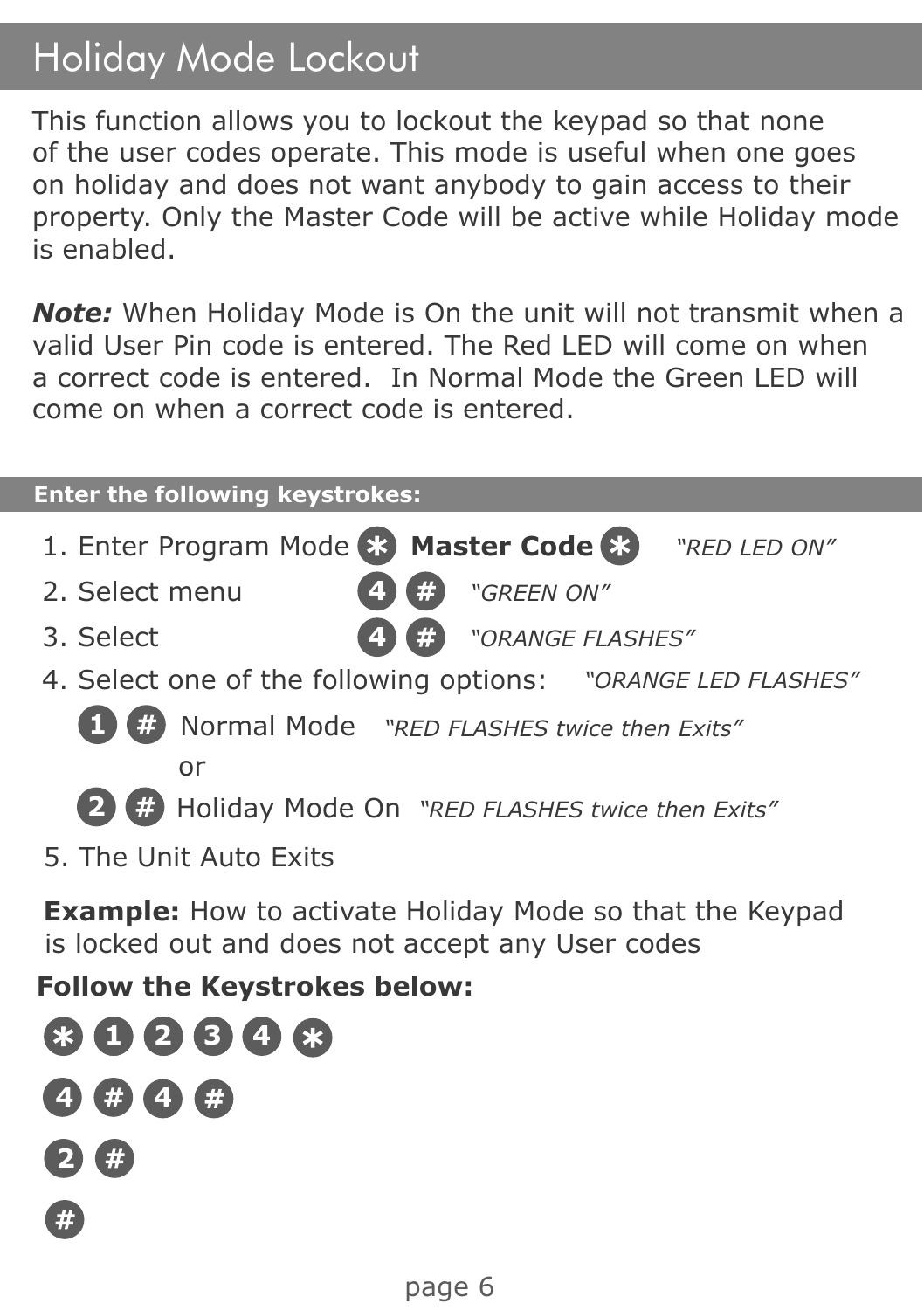## Holiday Mode Lockout

This function allows you to lockout the keypad so that none of the user codes operate. This mode is useful when one goes on holiday and does not want anybody to gain access to their property. Only the Master Code will be active while Holiday mode is enabled.

*Note:* When Holiday Mode is On the unit will not transmit when a valid User Pin code is entered. The Red LED will come on when a correct code is entered. In Normal Mode the Green LED will come on when a correct code is entered.

#### **Enter the following keystrokes:** 1. Enter Program Mode **83 Master Code 83** "RED LED ON" 2. Select menu 4. Select one of the following options: *"ORANGE LED FLASHES"* **4** *"GREEN ON"* 3. Select **4** *"ORANGE FLASHES"* **1** Normal Mode *"RED FLASHES twice then Exits"* **2** Holiday Mode On *"RED FLASHES twice then Exits"* or **Example:** How to activate Holiday Mode so that the Keypad is locked out and does not accept any User codes 5. The Unit Auto Exits

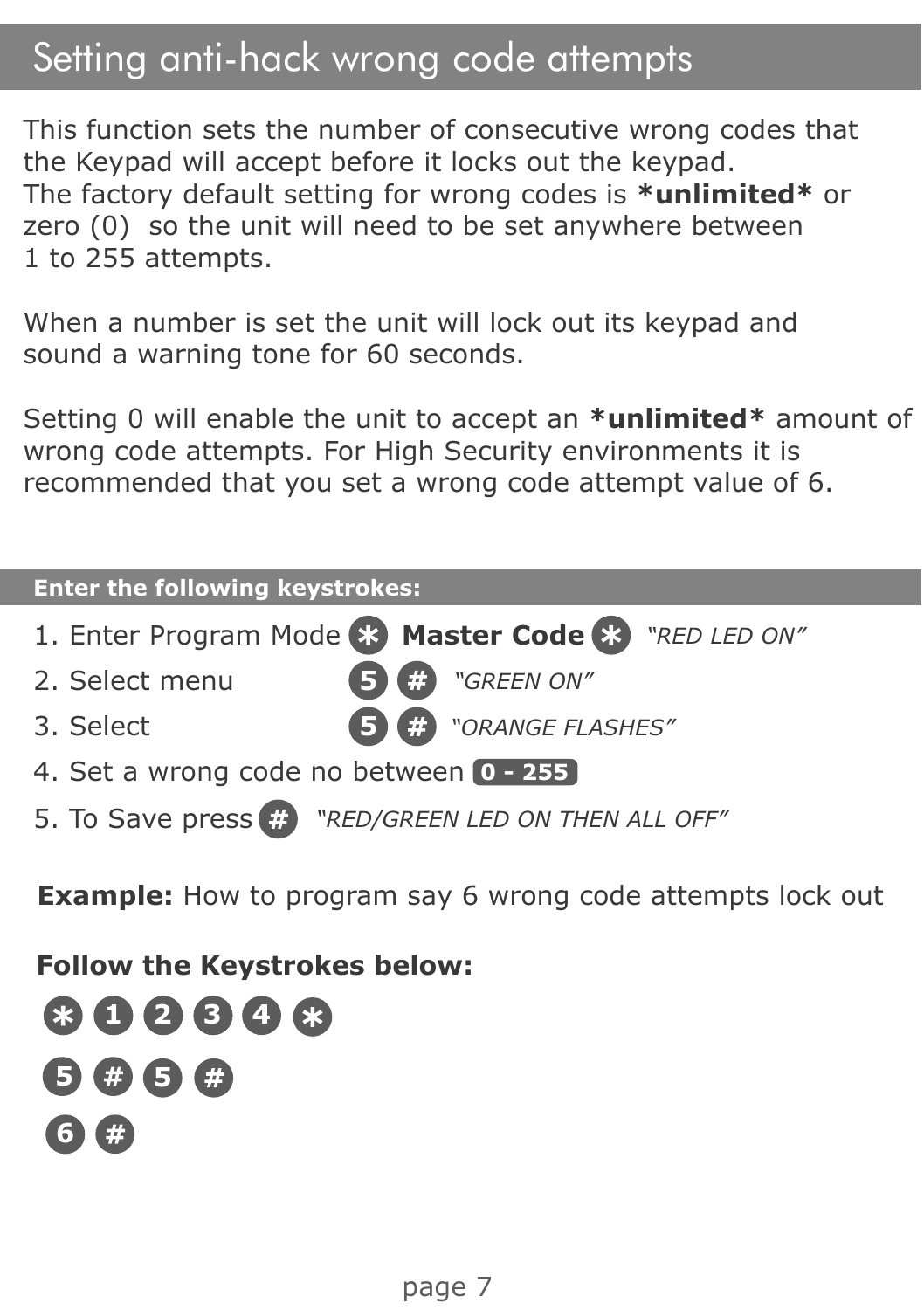#### Setting anti-hack wrong code attempts

This function sets the number of consecutive wrong codes that the Keypad will accept before it locks out the keypad. The factory default setting for wrong codes is **\*unlimited\*** or zero (0) so the unit will need to be set anywhere between 1 to 255 attempts.

When a number is set the unit will lock out its keypad and sound a warning tone for 60 seconds.

Setting 0 will enable the unit to accept an **\*unlimited\*** amount of wrong code attempts. For High Security environments it is recommended that you set a wrong code attempt value of 6.

| <b>Enter the following keystrokes:</b>             |  |  |  |  |  |
|----------------------------------------------------|--|--|--|--|--|
| 1. Enter Program Mode & Master Code & "RED LED ON" |  |  |  |  |  |
| "GREEN ON"<br>2. Select menu<br>m                  |  |  |  |  |  |
| 5 # "ORANGE FLASHES"<br>3. Select                  |  |  |  |  |  |
| 4. Set a wrong code no between 0 - 255             |  |  |  |  |  |
| 5. To Save press # "RED/GREEN LED ON THEN ALL OFF" |  |  |  |  |  |
|                                                    |  |  |  |  |  |

**Example:** How to program say 6 wrong code attempts lock out

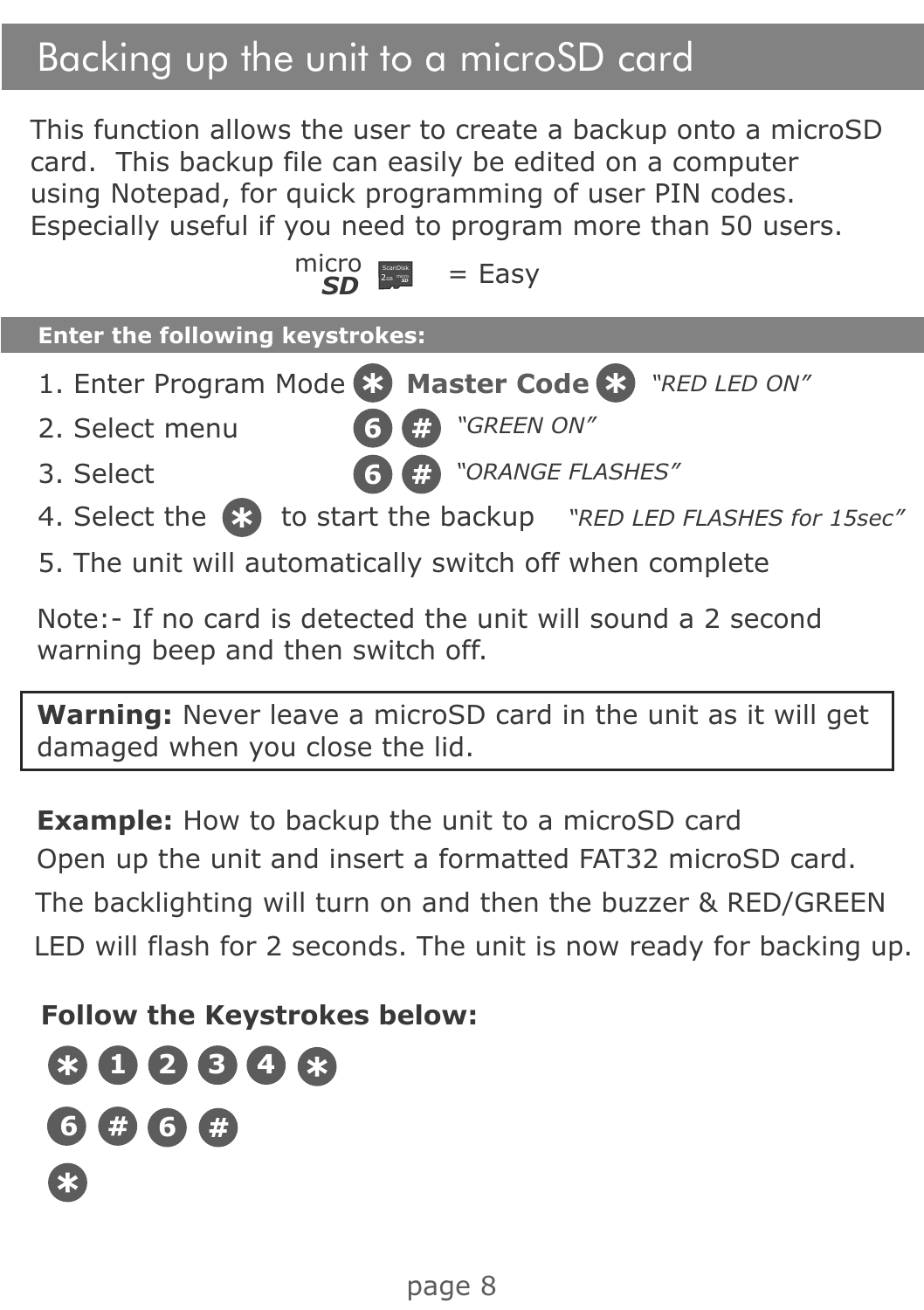## Backing up the unit to a microSD card

This function allows the user to create a backup onto a microSD card. This backup file can easily be edited on a computer using Notepad, for quick programming of user PIN codes. Especially useful if you need to program more than 50 users.

$$
\frac{\text{micro}}{\text{SD}} = \text{Easy}
$$

| <b>Enter the following keystrokes:</b>                           |
|------------------------------------------------------------------|
| 1. Enter Program Mode 83 Master Code 83 "RED LED ON"             |
| <b>6 C</b> "GREEN ON"<br>2. Select menu                          |
| <b>6 #</b> "ORANGE FLASHES"<br>3. Select                         |
| 4. Select the 83 to start the backup "RED LED FLASHES for 15sec" |

5. The unit will automatically switch off when complete

Note:- If no card is detected the unit will sound a 2 second warning beep and then switch off.

**Warning:** Never leave a microSD card in the unit as it will get damaged when you close the lid.

**Example:** How to backup the unit to a microSD card Open up the unit and insert a formatted FAT32 microSD card.

The backlighting will turn on and then the buzzer & RED/GREEN LED will flash for 2 seconds. The unit is now ready for backing up.

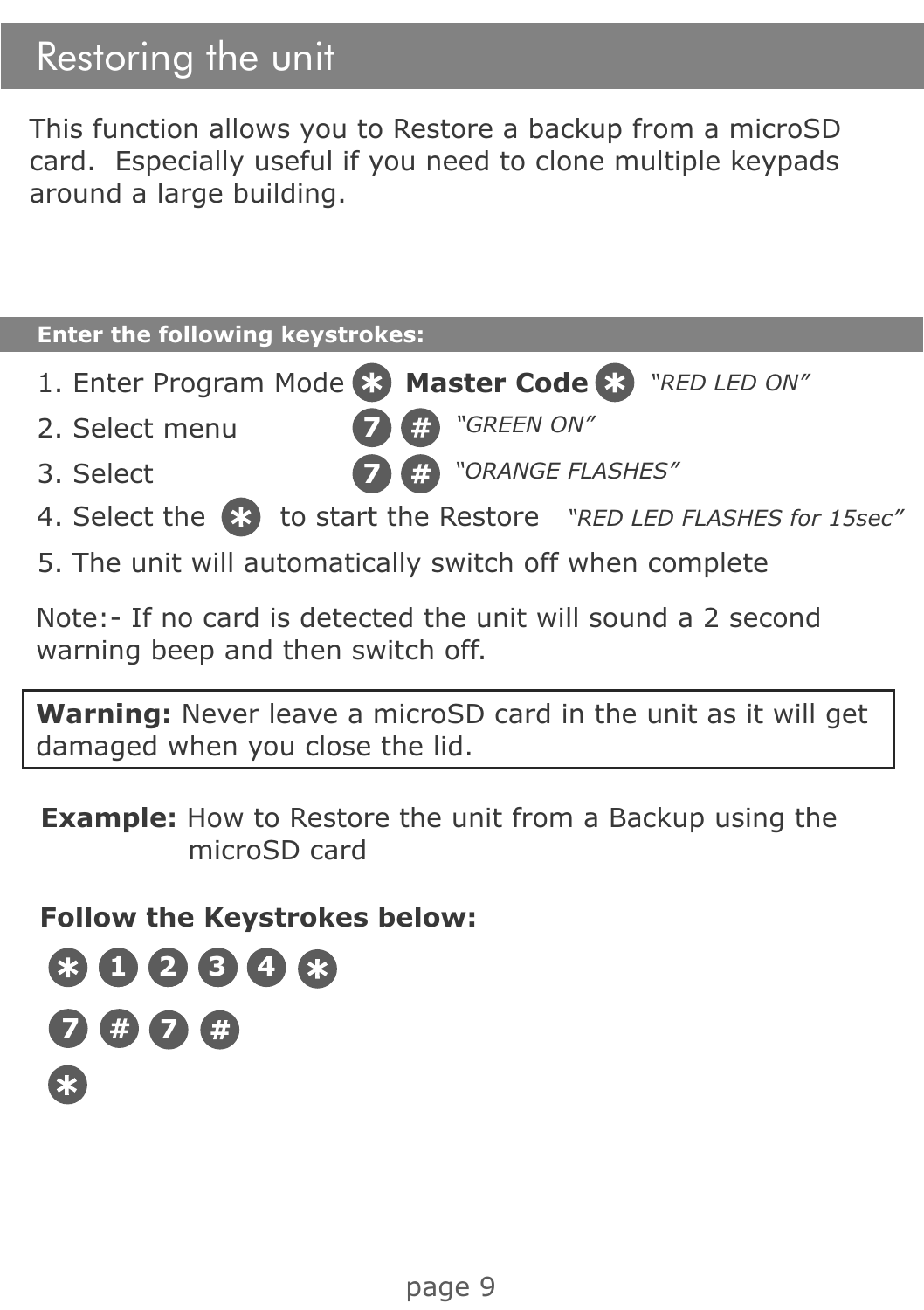## Restoring the unit

This function allows you to Restore a backup from a microSD card. Especially useful if you need to clone multiple keypads around a large building.

| <b>Enter the following keystrokes:</b>                             |  |
|--------------------------------------------------------------------|--|
| 1. Enter Program Mode & Master Code & "RED LED ON"                 |  |
| "GREEN ON"<br>2. Select menu<br>F)                                 |  |
| <b>DE FLASHES"</b> "ORANGE FLASHES"<br>3. Select                   |  |
| 4. Select the (*) to start the Restore "RED LED FLASHES for 15sec" |  |
| 5. The unit will automatically switch off when complete            |  |

Note:- If no card is detected the unit will sound a 2 second warning beep and then switch off.

**Warning:** Never leave a microSD card in the unit as it will get damaged when you close the lid.

**Example:** How to Restore the unit from a Backup using the microSD card

**Follow the Keystrokes below:**



r.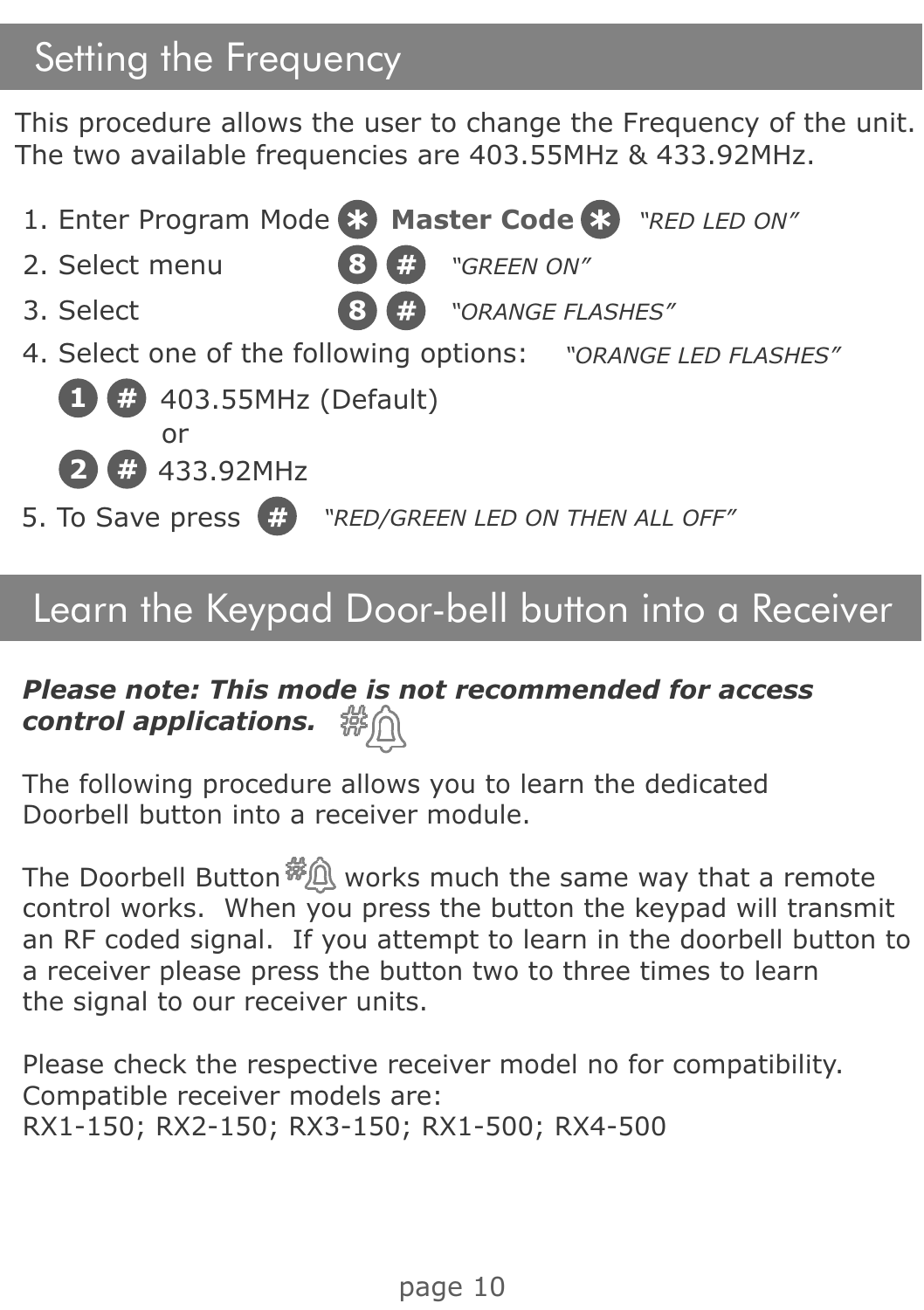## Setting the Frequency

This procedure allows the user to change the Frequency of the unit. The two available frequencies are 403.55MHz & 433.92MHz.



#### Learn the Keypad Door-bell button into a Receiver

#### *Please note: This mode is not recommended for access control applications.*

The following procedure allows you to learn the dedicated Doorbell button into a receiver module.

The Doorbell Button  $\frac{m}{m}$  works much the same way that a remote control works. When you press the button the keypad will transmit an RF coded signal. If you attempt to learn in the doorbell button to a receiver please press the button two to three times to learn the signal to our receiver units.

Please check the respective receiver model no for compatibility. Compatible receiver models are: RX1-150; RX2-150; RX3-150; RX1-500; RX4-500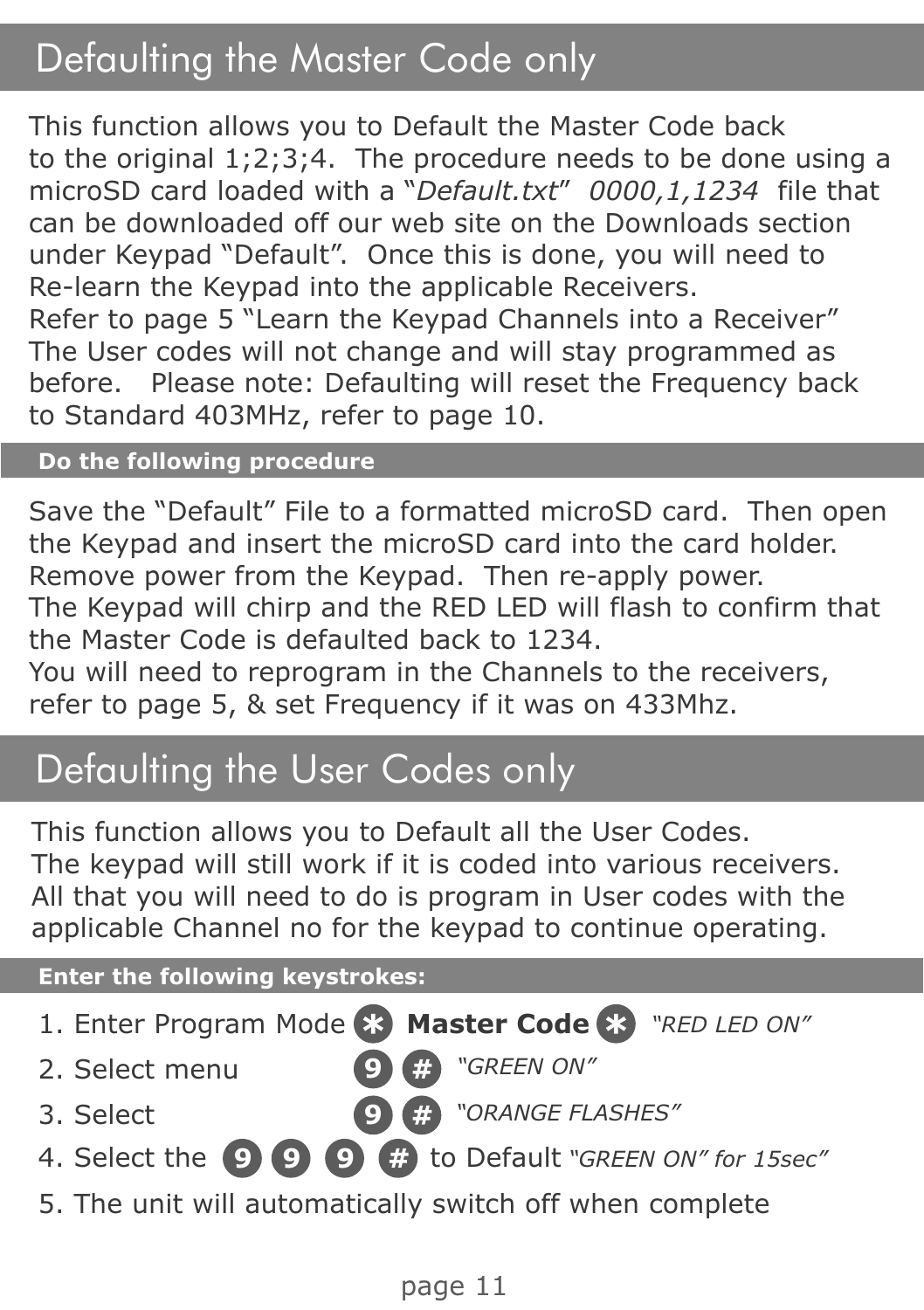## Defaulting the Master Code only

This function allows you to Default the Master Code back to the original 1;2;3;4. The procedure needs to be done using a microSD card loaded with a "*Default.txt*" *0000,1,1234* file that can be downloaded off our web site on the Downloads section under Keypad "Default". Once this is done, you will need to Re-learn the Keypad into the applicable Receivers. Refer to page 5 "Learn the Keypad Channels into a Receiver" The User codes will not change and will stay programmed as before. Please note: Defaulting will reset the Frequency back to Standard 403MHz, refer to page 10.

#### **Do the following procedure**

Save the "Default" File to a formatted microSD card. Then open the Keypad and insert the microSD card into the card holder. Remove power from the Keypad. Then re-apply power. The Keypad will chirp and the RED LED will flash to confirm that the Master Code is defaulted back to 1234.

You will need to reprogram in the Channels to the receivers, refer to page 5, & set Frequency if it was on 433Mhz.

#### Defaulting the User Codes only

This function allows you to Default all the User Codes. The keypad will still work if it is coded into various receivers. All that you will need to do is program in User codes with the applicable Channel no for the keypad to continue operating.

#### **Enter the following keystrokes:**

1. Enter Program Mode **83 Master Code 83** "RED LED ON" 2. Select menu 4. Select the to Default **9 9 9** *"GREEN ON" for 15sec"* **9** *"GREEN ON"* 3. Select 5. The unit will automatically switch off when complete **9** *"ORANGE FLASHES"*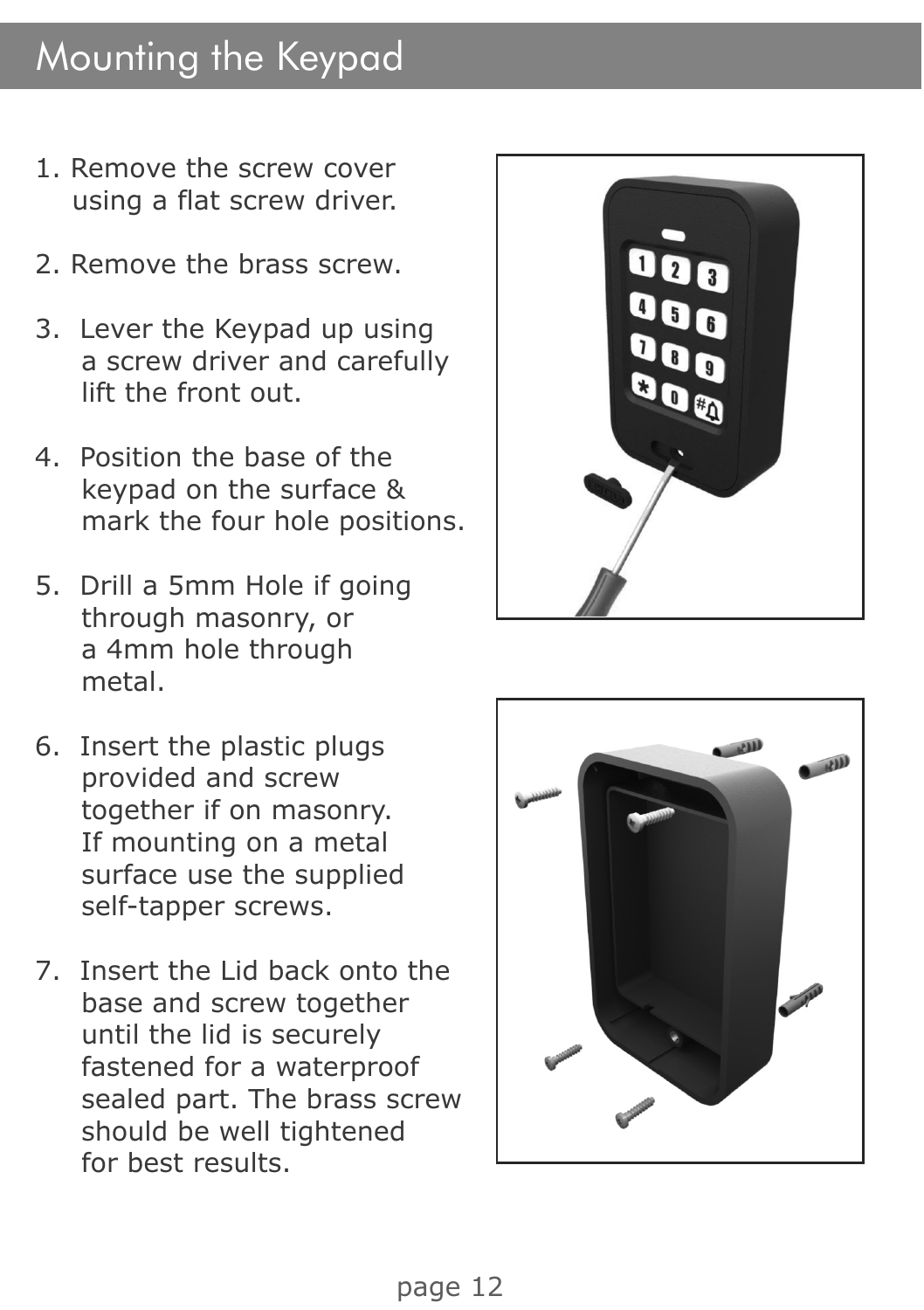#### Mounting the Keypad

- 1. Remove the screw cover using a flat screw driver.
- 2. Remove the brass screw.
- 3. Lever the Keypad up using a screw driver and carefully lift the front out.
- 4. Position the base of the keypad on the surface & mark the four hole positions.
- 5. Drill a 5mm Hole if going through masonry, or a 4mm hole through metal.
- 6. Insert the plastic plugs provided and screw together if on masonry. If mounting on a metal surface use the supplied self-tapper screws.
- 7. Insert the Lid back onto the base and screw together until the lid is securely fastened for a waterproof sealed part. The brass screw should be well tightened for best results.



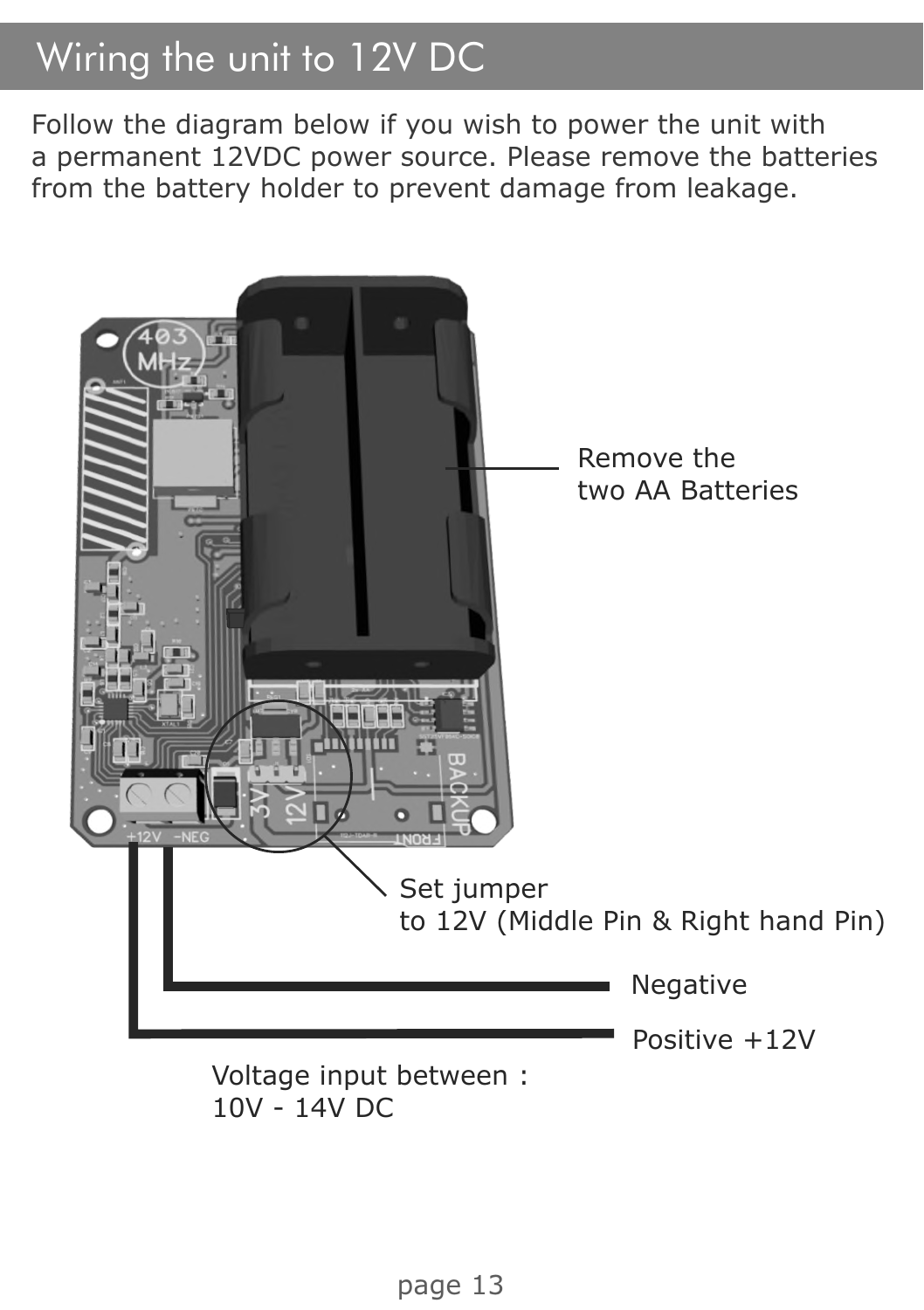## Wiring the unit to 12V DC

Follow the diagram below if you wish to power the unit with a permanent 12VDC power source. Please remove the batteries from the battery holder to prevent damage from leakage.



10V - 14V DC